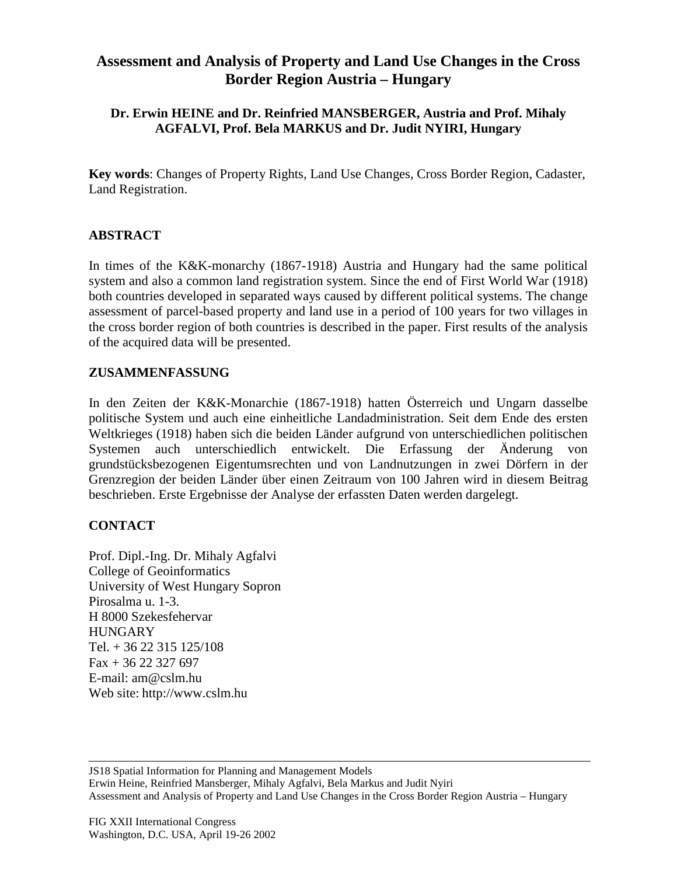# **Assessment and Analysis of Property and Land Use Changes in the Cross Border Region Austria – Hungary**

## **Dr. Erwin HEINE and Dr. Reinfried MANSBERGER, Austria and Prof. Mihaly AGFALVI, Prof. Bela MARKUS and Dr. Judit NYIRI, Hungary**

**Key words**: Changes of Property Rights, Land Use Changes, Cross Border Region, Cadaster, Land Registration.

### **ABSTRACT**

In times of the K&K-monarchy (1867-1918) Austria and Hungary had the same political system and also a common land registration system. Since the end of First World War (1918) both countries developed in separated ways caused by different political systems. The change assessment of parcel-based property and land use in a period of 100 years for two villages in the cross border region of both countries is described in the paper. First results of the analysis of the acquired data will be presented.

#### **ZUSAMMENFASSUNG**

In den Zeiten der K&K-Monarchie (1867-1918) hatten Österreich und Ungarn dasselbe politische System und auch eine einheitliche Landadministration. Seit dem Ende des ersten Weltkrieges (1918) haben sich die beiden Länder aufgrund von unterschiedlichen politischen Systemen auch unterschiedlich entwickelt. Die Erfassung der Änderung von grundstücksbezogenen Eigentumsrechten und von Landnutzungen in zwei Dörfern in der Grenzregion der beiden Länder über einen Zeitraum von 100 Jahren wird in diesem Beitrag beschrieben. Erste Ergebnisse der Analyse der erfassten Daten werden dargelegt.

### **CONTACT**

Prof. Dipl.-Ing. Dr. Mihaly Agfalvi College of Geoinformatics University of West Hungary Sopron Pirosalma u. 1-3. H 8000 Szekesfehervar **HUNGARY** Tel. + 36 22 315 125/108  $Fax + 36 22 327 697$ E-mail: am@cslm.hu Web site: http://www.cslm.hu

JS18 Spatial Information for Planning and Management Models Erwin Heine, Reinfried Mansberger, Mihaly Agfalvi, Bela Markus and Judit Nyiri Assessment and Analysis of Property and Land Use Changes in the Cross Border Region Austria – Hungary